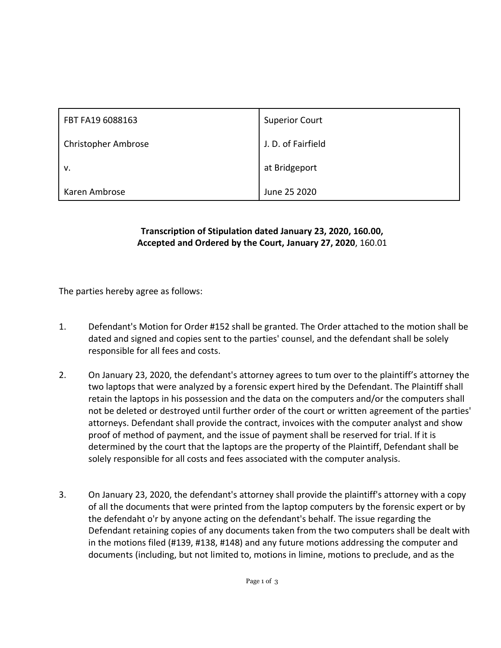| FBT FA19 6088163           | <b>Superior Court</b> |
|----------------------------|-----------------------|
| <b>Christopher Ambrose</b> | J. D. of Fairfield    |
| v.                         | at Bridgeport         |
| Karen Ambrose              | June 25 2020          |

## **Transcription of Stipulation dated January 23, 2020, 160.00, Accepted and Ordered by the Court, January 27, 2020**, 160.01

The parties hereby agree as follows:

- 1. Defendant's Motion for Order #152 shall be granted. The Order attached to the motion shall be dated and signed and copies sent to the parties' counsel, and the defendant shall be solely responsible for all fees and costs.
- 2. On January 23, 2020, the defendant's attorney agrees to tum over to the plaintiff's attorney the two laptops that were analyzed by a forensic expert hired by the Defendant. The Plaintiff shall retain the laptops in his possession and the data on the computers and/or the computers shall not be deleted or destroyed until further order of the court or written agreement of the parties' attorneys. Defendant shall provide the contract, invoices with the computer analyst and show proof of method of payment, and the issue of payment shall be reserved for trial. If it is determined by the court that the laptops are the property of the Plaintiff, Defendant shall be solely responsible for all costs and fees associated with the computer analysis.
- 3. On January 23, 2020, the defendant's attorney shall provide the plaintiff's attorney with a copy of all the documents that were printed from the laptop computers by the forensic expert or by the defendaht o'r by anyone acting on the defendant's behalf. The issue regarding the Defendant retaining copies of any documents taken from the two computers shall be dealt with in the motions filed (#139, #138, #148) and any future motions addressing the computer and documents (including, but not limited to, motions in limine, motions to preclude, and as the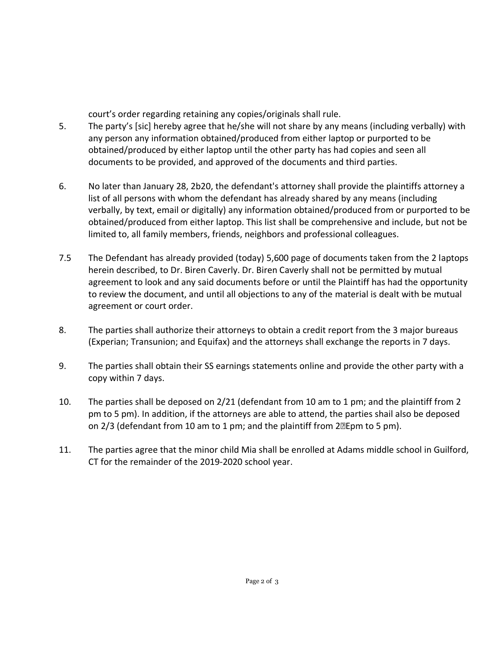court's order regarding retaining any copies/originals shall rule.

- 5. The party's [sic] hereby agree that he/she will not share by any means (including verbally) with any person any information obtained/produced from either laptop or purported to be obtained/produced by either laptop until the other party has had copies and seen all documents to be provided, and approved of the documents and third parties.
- 6. No later than January 28, 2b20, the defendant's attorney shall provide the plaintiffs attorney a list of all persons with whom the defendant has already shared by any means (including verbally, by text, email or digitally) any information obtained/produced from or purported to be obtained/produced from either laptop. This list shall be comprehensive and include, but not be limited to, all family members, friends, neighbors and professional colleagues.
- 7.5 The Defendant has already provided (today) 5,600 page of documents taken from the 2 laptops herein described, to Dr. Biren Caverly. Dr. Biren Caverly shall not be permitted by mutual agreement to look and any said documents before or until the Plaintiff has had the opportunity to review the document, and until all objections to any of the material is dealt with be mutual agreement or court order.
- 8. The parties shall authorize their attorneys to obtain a credit report from the 3 major bureaus (Experian; Transunion; and Equifax) and the attorneys shall exchange the reports in 7 days.
- 9. The parties shall obtain their SS earnings statements online and provide the other party with a copy within 7 days.
- 10. The parties shall be deposed on 2/21 (defendant from 10 am to 1 pm; and the plaintiff from 2 pm to 5 pm). In addition, if the attorneys are able to attend, the parties shail also be deposed on 2/3 (defendant from 10 am to 1 pm; and the plaintiff from 2•Epm to 5 pm).
- 11. The parties agree that the minor child Mia shall be enrolled at Adams middle school in Guilford, CT for the remainder of the 2019-2020 school year.